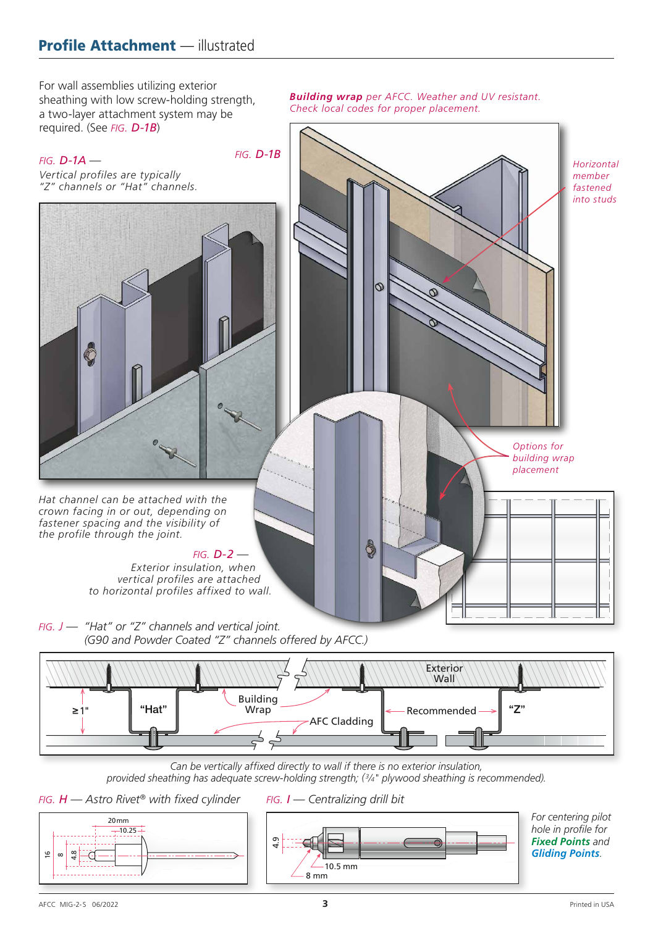For wall assemblies utilizing exterior sheathing with low screw-holding strength, a two-layer attachment system may be

*Building wrap per AFCC. Weather and UV resistant. Check local codes for proper placement.*





20mm  $-10.25$  *fig. I — Centralizing drill bit*



*For centering pilot hole in profile for Fixed Points and Gliding Points*.

4.8  $^{\circ}$ 

16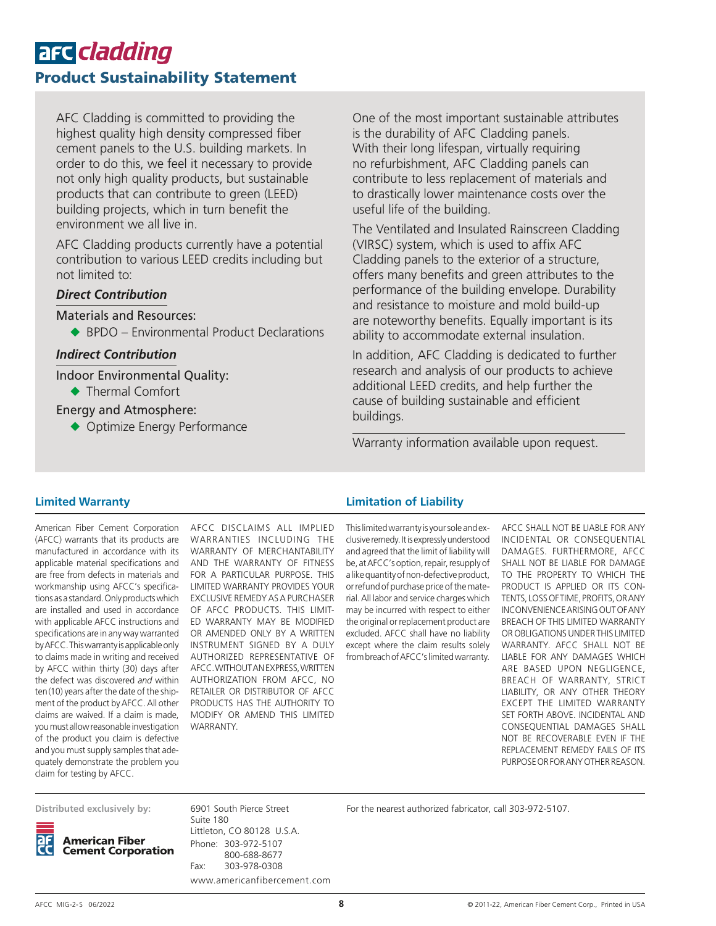# are cladding Product Sustainability Statement

AFC Cladding is committed to providing the highest quality high density compressed fiber cement panels to the U.S. building markets. In order to do this, we feel it necessary to provide not only high quality products, but sustainable products that can contribute to green (LEED) building projects, which in turn benefit the environment we all live in.

AFC Cladding products currently have a potential contribution to various LEED credits including but not limited to:

#### *Direct Contribution*

Materials and Resources:

 $\triangle$  BPDO – Environmental Product Declarations

### *Indirect Contribution*

Indoor Environmental Quality:

◆ Thermal Comfort

#### Energy and Atmosphere:

◆ Optimize Energy Performance

One of the most important sustainable attributes is the durability of AFC Cladding panels. With their long lifespan, virtually requiring no refurbishment, AFC Cladding panels can contribute to less replacement of materials and to drastically lower maintenance costs over the useful life of the building.

The Ventilated and Insulated Rainscreen Cladding (VIRSC) system, which is used to affix AFC Cladding panels to the exterior of a structure, offers many benefits and green attributes to the performance of the building envelope. Durability and resistance to moisture and mold build-up are noteworthy benefits. Equally important is its ability to accommodate external insulation.

In addition, AFC Cladding is dedicated to further research and analysis of our products to achieve additional LEED credits, and help further the cause of building sustainable and efficient buildings.

Warranty information available upon request.

#### **Limited Warranty**

American Fiber Cement Corporation (AFCC) warrants that its products are manufactured in accordance with its applicable material specifications and are free from defects in materials and workmanship using AFCC's specifications as a standard. Only products which are installed and used in accordance with applicable AFCC instructions and specifications are in any way warranted by AFCC. This warranty is applicable only to claims made in writing and received by AFCC within thirty (30) days after the defect was discovered *and* within ten(10) years after the date of the shipment of the product by AFCC. All other claims are waived. If a claim is made, you must allow reasonable investigation of the product you claim is defective and you must supply samples that adequately demonstrate the problem you claim for testing by AFCC.

AFCC DISCLAIMS ALL IMPLIED WARRANTIES INCLUDING THE WARRANTY OF MERCHANTABILITY AND THE WARRANTY OF FITNESS FOR A PARTICULAR PURPOSE. THIS LIMITED WARRANTY PROVIDES YOUR EXCLUSIVE REMEDY AS A PURCHASER OF AFCC PRODUCTS. THIS LIMIT-ED WARRANTY MAY BE MODIFIED OR AMENDED ONLY BY A WRITTEN INSTRUMENT SIGNED BY A DULY AUTHORIZED REPRESENTATIVE OF AFCC. WITHOUT AN EXPRESS, WRITTEN AUTHORIZATION FROM AFCC, NO RETAILER OR DISTRIBUTOR OF AFCC PRODUCTS HAS THE AUTHORITY TO MODIFY OR AMEND THIS LIMITED WARRANTY.

#### **Limitation of Liability**

This limited warranty is your sole and exclusive remedy. It is expressly understood and agreed that the limit of liability will be, at AFCC's option, repair, resupply of a like quantity of non-defective product, or refund of purchase price of the material. All labor and service charges which may be incurred with respect to either the original or replacement product are excluded. AFCC shall have no liability except where the claim results solely from breach of AFCC's limited warranty.

AFCC SHALL NOT BE LIABLE FOR ANY INCIDENTAL OR CONSEQUENTIAL DAMAGES. FURTHERMORE, AFCC SHALL NOT BE LIABLE FOR DAMAGE TO THE PROPERTY TO WHICH THE PRODUCT IS APPLIED OR ITS CON-TENTS, LOSS OF TIME, PROFITS, OR ANY INCONVENIENCE ARISING OUT OF ANY BREACH OF THIS LIMITED WARRANTY OR OBLIGATIONS UNDER THIS LIMITED WARRANTY. AFCC SHALL NOT BE LIABLE FOR ANY DAMAGES WHICH ARE BASED UPON NEGLIGENCE, BREACH OF WARRANTY, STRICT LIABILITY, OR ANY OTHER THEORY EXCEPT THE LIMITED WARRANTY SET FORTH ABOVE. INCIDENTAL AND CONSEQUENTIAL DAMAGES SHALL NOT BE RECOVERABLE EVEN IF THE REPLACEMENT REMEDY FAILS OF ITS PURPOSE OR FOR ANY OTHER REASON.

**Distributed exclusively by:**



6901 South Pierce Street Suite 180 Littleton, CO 80128 U.S.A. Phone: 303-972-5107 800-688-8677 Fax: 303-978-0308 www.americanfibercement.com For the nearest authorized fabricator, call 303-972-5107.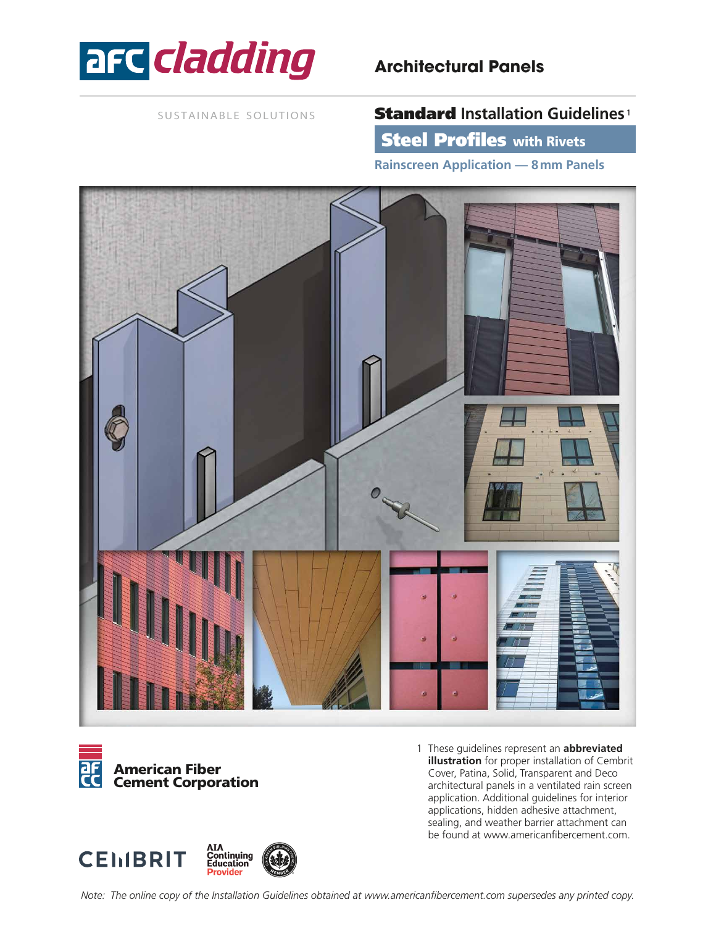

## **Architectural Panels**

SUSTAINABLE SOLUTIONS

## Standard **Installation Guidelines** <sup>1</sup>

**Steel Profiles with Rivets** 

**Rainscreen Application — 8mm Panels**





1 These guidelines represent an **abbreviated illustration** for proper installation of Cembrit Cover, Patina, Solid, Transparent and Deco architectural panels in a ventilated rain screen application. Additional guidelines for interior applications, hidden adhesive attachment, sealing, and weather barrier attachment can be found at www.americanfibercement.com.

AIA<br>Continuing<br>Education **CEMBRIT** Provider

*Note: The online copy of the Installation Guidelines obtained at www.americanfibercement.com supersedes any printed copy.*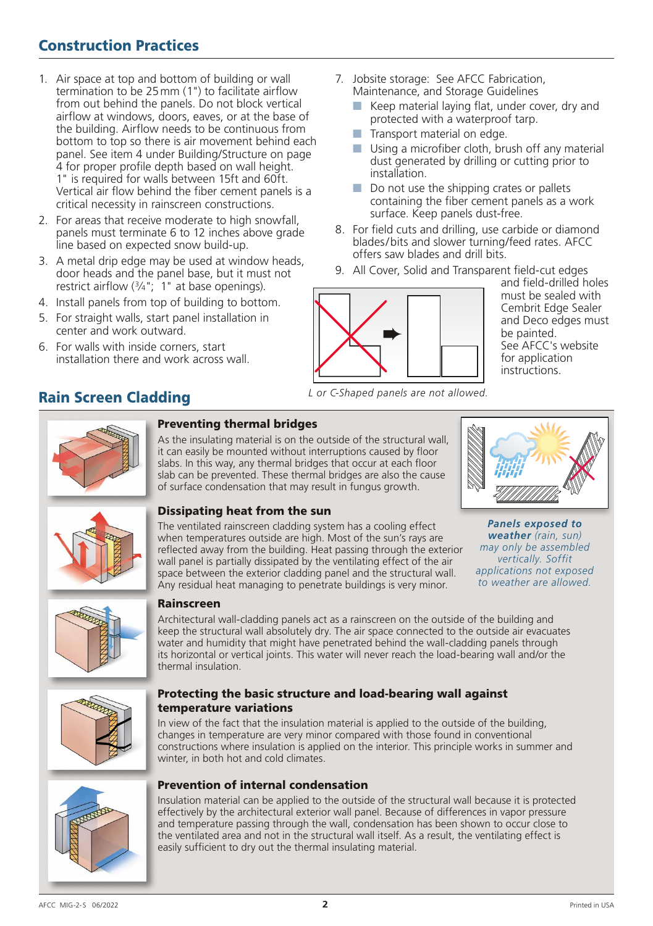## Construction Practices

- 1. Air space at top and bottom of building or wall termination to be 25mm (1") to facilitate airflow from out behind the panels. Do not block vertical airflow at windows, doors, eaves, or at the base of the building. Airflow needs to be continuous from bottom to top so there is air movement behind each panel. See item 4 under Building/Structure on page 4 for proper profile depth based on wall height. 1" is required for walls between 15ft and 60ft. Vertical air flow behind the fiber cement panels is a critical necessity in rainscreen constructions.
- 2. For areas that receive moderate to high snowfall, panels must terminate 6 to 12 inches above grade line based on expected snow build-up.
- 3. A metal drip edge may be used at window heads, door heads and the panel base, but it must not restrict airflow  $(3/4)$ ; 1" at base openings).
- 4. Install panels from top of building to bottom.
- 5. For straight walls, start panel installation in center and work outward.
- 6. For walls with inside corners, start installation there and work across wall.
- Rain Screen Cladding
- 7. Jobsite storage: See AFCC Fabrication, Maintenance, and Storage Guidelines
	- $\blacksquare$  Keep material laying flat, under cover, dry and protected with a waterproof tarp.
	- $\blacksquare$  Transport material on edge.
	- $\blacksquare$  Using a microfiber cloth, brush off any material dust generated by drilling or cutting prior to installation.
	- $\blacksquare$  Do not use the shipping crates or pallets containing the fiber cement panels as a work surface. Keep panels dust-free.
- 8. For field cuts and drilling, use carbide or diamond blades/bits and slower turning/feed rates. AFCC offers saw blades and drill bits.
- 9. All Cover, Solid and Transparent field-cut edges



and field-drilled holes must be sealed with Cembrit Edge Sealer and Deco edges must be painted. See AFCC's website for application instructions.

*L or C-Shaped panels are not allowed.*



### Preventing thermal bridges

As the insulating material is on the outside of the structural wall, it can easily be mounted without interruptions caused by floor slabs. In this way, any thermal bridges that occur at each floor slab can be prevented. These thermal bridges are also the cause of surface condensation that may result in fungus growth.





#### Dissipating heat from the sun

The ventilated rainscreen cladding system has a cooling effect when temperatures outside are high. Most of the sun's rays are reflected away from the building. Heat passing through the exterior wall panel is partially dissipated by the ventilating effect of the air space between the exterior cladding panel and the structural wall. Any residual heat managing to penetrate buildings is very minor.

*Panels exposed to weather (rain, sun) may only be assembled vertically. Soffit applications not exposed to weather are allowed.*



#### Rainscreen

Architectural wall-cladding panels act as a rainscreen on the outside of the building and keep the structural wall absolutely dry. The air space connected to the outside air evacuates water and humidity that might have penetrated behind the wall-cladding panels through its horizontal or vertical joints. This water will never reach the load-bearing wall and/or the thermal insulation.



#### Protecting the basic structure and load-bearing wall against temperature variations

In view of the fact that the insulation material is applied to the outside of the building, changes in temperature are very minor compared with those found in conventional constructions where insulation is applied on the interior. This principle works in summer and winter, in both hot and cold climates.



#### Prevention of internal condensation

Insulation material can be applied to the outside of the structural wall because it is protected effectively by the architectural exterior wall panel. Because of differences in vapor pressure and temperature passing through the wall, condensation has been shown to occur close to the ventilated area and not in the structural wall itself. As a result, the ventilating effect is easily sufficient to dry out the thermal insulating material.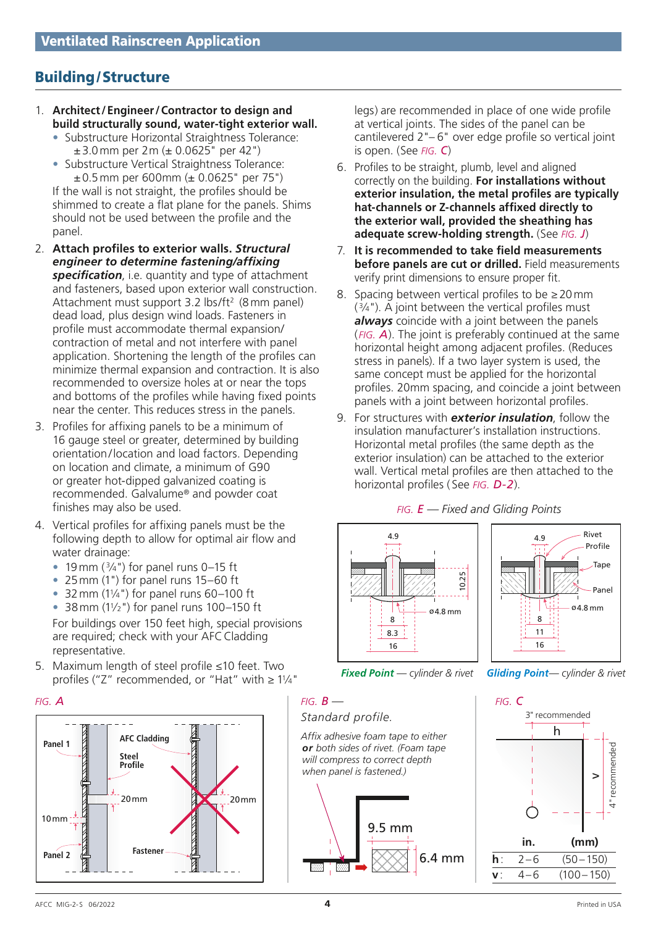## Building/Structure

- 1. **Architect/Engineer/Contractor to design and build structurally sound, water-tight exterior wall.**
	- Substructure Horizontal Straightness Tolerance: ±3.0mm per 2m (± 0.0625" per 42")
	- Substructure Vertical Straightness Tolerance:  $\pm 0.5$  mm per 600mm ( $\pm 0.0625$ " per 75")

If the wall is not straight, the profiles should be shimmed to create a flat plane for the panels. Shims should not be used between the profile and the panel.

- 2. **Attach profiles to exterior walls.** *Structural engineer to determine fastening/affixing specification*, i.e. quantity and type of attachment and fasteners, based upon exterior wall construction. Attachment must support 3.2 lbs/ft<sup>2</sup> (8 mm panel) dead load, plus design wind loads. Fasteners in profile must accommodate thermal expansion/ contraction of metal and not interfere with panel application. Shortening the length of the profiles can minimize thermal expansion and contraction. It is also recommended to oversize holes at or near the tops and bottoms of the profiles while having fixed points near the center. This reduces stress in the panels.
- 3. Profiles for affixing panels to be a minimum of 16 gauge steel or greater, determined by building orientation/location and load factors. Depending on location and climate, a minimum of G90 or greater hot-dipped galvanized coating is recommended. Galvalume® and powder coat finishes may also be used.
- 4. Vertical profiles for affixing panels must be the following depth to allow for optimal air flow and water drainage:
	- 19 mm  $(3/4)$  for panel runs 0–15 ft
	- 25mm (1") for panel runs 15–60 ft
	- $\bullet$  32 mm (1¼") for panel runs 60-100 ft
	- 38 mm  $(1\frac{1}{2})$  for panel runs 100-150 ft

For buildings over 150 feet high, special provisions are required; check with your AFC Cladding representative.

5. Maximum length of steel profile ≤10 feet. Two profiles ("Z" recommended, or "Hat" with <sup>≥</sup> 11⁄4" *Fixed Point — cylinder & rivet Gliding Point— cylinder & rivet*



legs) are recommended in place of one wide profile at vertical joints. The sides of the panel can be cantilevered 2"– 6" over edge profile so vertical joint is open. (See *fig. C*)

- 6. Profiles to be straight, plumb, level and aligned correctly on the building. **For installations without exterior insulation, the metal profiles are typically hat-channels or Z-channels affixed directly to the exterior wall, provided the sheathing has adequate screw-holding strength.** (See *fig. J*)
- 7. **It is recommended to take field measurements before panels are cut or drilled.** Field measurements verify print dimensions to ensure proper fit.
- 8. Spacing between vertical profiles to be  $\geq$  20 mm  $(3/4)$ . A joint between the vertical profiles must *always* coincide with a joint between the panels ( *fig. A*). The joint is preferably continued at the same horizontal height among adjacent profiles. (Reduces stress in panels). If a two layer system is used, the same concept must be applied for the horizontal profiles. 20mm spacing, and coincide a joint between panels with a joint between horizontal profiles.
- 9. For structures with *exterior insulation*, follow the insulation manufacturer's installation instructions. Horizontal metal profiles (the same depth as the exterior insulation) can be attached to the exterior wall. Vertical metal profiles are then attached to the horizontal profiles ( See *fig. D-2*).

#### *fig. E — Fixed and Gliding Points*







3" recommended h 4" recommended 4" recommended  $\geq$ **in. (mm) h**: 2–6 (50–150) **v**: 4–6 (100–150)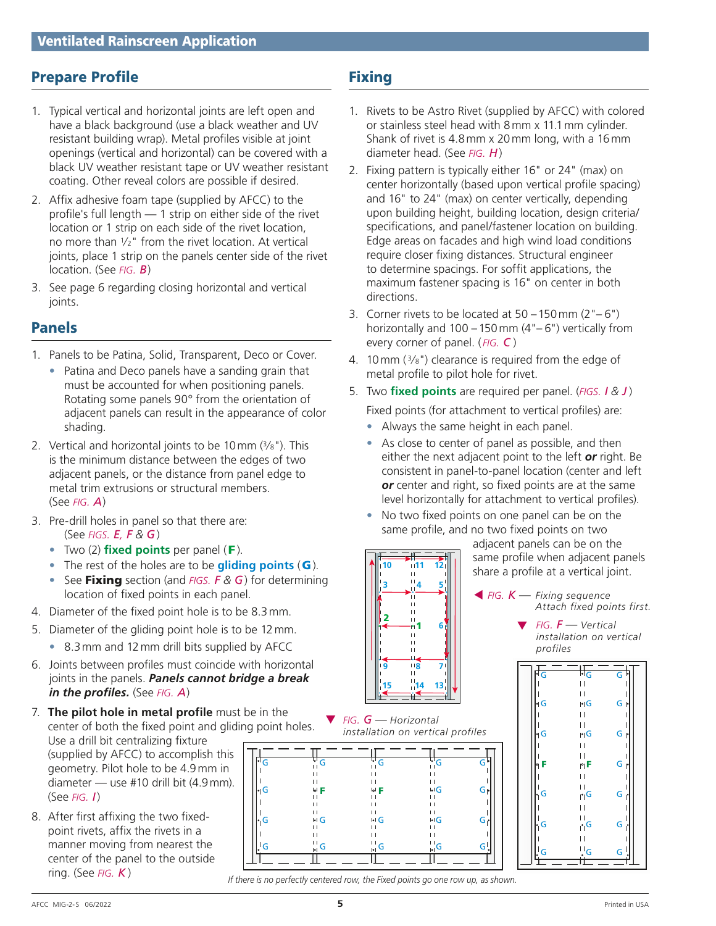## Prepare Profile

- 1. Typical vertical and horizontal joints are left open and have a black background (use a black weather and UV resistant building wrap). Metal profiles visible at joint openings (vertical and horizontal) can be covered with a black UV weather resistant tape or UV weather resistant coating. Other reveal colors are possible if desired.
- 2. Affix adhesive foam tape (supplied by AFCC) to the profile's full length — 1 strip on either side of the rivet location or 1 strip on each side of the rivet location, no more than 1⁄2" from the rivet location. At vertical joints, place 1 strip on the panels center side of the rivet location. (See *fig. B*)
- 3. See page 6 regarding closing horizontal and vertical joints.

## Panels

- 1. Panels to be Patina, Solid, Transparent, Deco or Cover.
	- Patina and Deco panels have a sanding grain that must be accounted for when positioning panels. Rotating some panels 90° from the orientation of adjacent panels can result in the appearance of color shading.
- 2. Vertical and horizontal joints to be 10mm (3⁄8"). This is the minimum distance between the edges of two adjacent panels, or the distance from panel edge to metal trim extrusions or structural members. (See *fig. A*)
- 3. Pre-drill holes in panel so that there are: (See *figs. E, F & G*)
	- Two (2) **fixed points** per panel (F).
	- The rest of the holes are to be **gliding points** (G).
	- See Fixing section (and *figs. F & G*) for determining location of fixed points in each panel.
- 4. Diameter of the fixed point hole is to be 8.3mm.
- 5. Diameter of the gliding point hole is to be 12mm.
	- 8.3mm and 12mm drill bits supplied by AFCC
- 6. Joints between profiles must coincide with horizontal joints in the panels. *Panels cannot bridge a break in the profiles.* (See *fig. A*)
- $\overline{\phantom{a}}$  Fig. (  $\overline{\phantom{a}}$  Fig. (  $\overline{\phantom{a}}$  Fig. (  $\overline{\phantom{a}}$  Fig. (  $\overline{\phantom{a}}$  Fig. (  $\overline{\phantom{a}}$  Fig. ( ) and ( ) and ( ) and ( ) and ( ) and ( ) and ( ) and ( ) and ( ) and ( ) and ( ) and ( ) and ( ) and ( ) a 7. **The pilot hole in metal profile** must be in the center of both the fixed point and gliding point holes. Use a drill bit centralizing fixture (supplied by AFCC) to accomplish this geometry. Pilot hole to be 4.9mm in diameter — use #10 drill bit (4.9mm). (See *fig. I*)
- 8. After first affixing the two fixedpoint rivets, affix the rivets in a manner moving from nearest the center of the panel to the outside ring. (See *fig. K* )

## **Fixing**

- 1. Rivets to be Astro Rivet (supplied by AFCC) with colored or stainless steel head with 8mm x 11.1mm cylinder. Shank of rivet is 4.8mm x 20mm long, with a 16mm diameter head. (See *fig. H*)
- 2. Fixing pattern is typically either 16" or 24" (max) on center horizontally (based upon vertical profile spacing) and 16" to 24" (max) on center vertically, depending upon building height, building location, design criteria/ specifications, and panel/fastener location on building. Edge areas on facades and high wind load conditions require closer fixing distances. Structural engineer to determine spacings. For soffit applications, the maximum fastener spacing is 16" on center in both directions.
- 3. Corner rivets to be located at  $50 150$  mm  $(2<sup>n</sup> 6<sup>n</sup>)$ horizontally and 100 –150mm (4"– 6") vertically from every corner of panel. ( *fig. C* )
- 4. 10 mm  $(3/s")$  clearance is required from the edge of metal profile to pilot hole for rivet.
- 5. Two **fixed points** are required per panel. (*figs. I & J* )

Fixed points (for attachment to vertical profiles) are:

- Always the same height in each panel.
- As close to center of panel as possible, and then either the next adjacent point to the left *or* right. Be consistent in panel-to-panel location (center and left *or* center and right, so fixed points are at the same level horizontally for attachment to vertical profiles).
- No two fixed points on one panel can be on the same profile, and no two fixed points on two

adjacent panels can be on the same profile when adjacent panels share a profile at a vertical joint.



▼ *fig. F — Vertical installation on vertical profiles*



Ш *If there is no perfectly centered row, the Fixed points go one row up, as shown.*

 $\overline{\phantom{a}}$ 

 $\mathbf{L}$ 

 $\overline{11}$ 

 $\left\| \cdot \right\|$  $\pm$  1

H<sub>G</sub> H<sub>G</sub>

1

**6**

**15 14 13 9 8 7**

*installation on vertical profiles*

**3 4 5 10 11 12**

> $\overline{1}$  $\blacksquare$ Ĥ ū

2

▼ *fig. G — Horizontal* 

G

Ш

G

 $\mathbf{L}$ 

 $\pm$  1

 $\overline{G}$ 

 $G_{\mid \cdot \mid}$ 

 $G^{\dagger}$ 

 $G_{\uparrow}$ 

 $\blacksquare$ 

G

G

G

Ш

 $\lvert \cdot \rvert$  G

G

G

G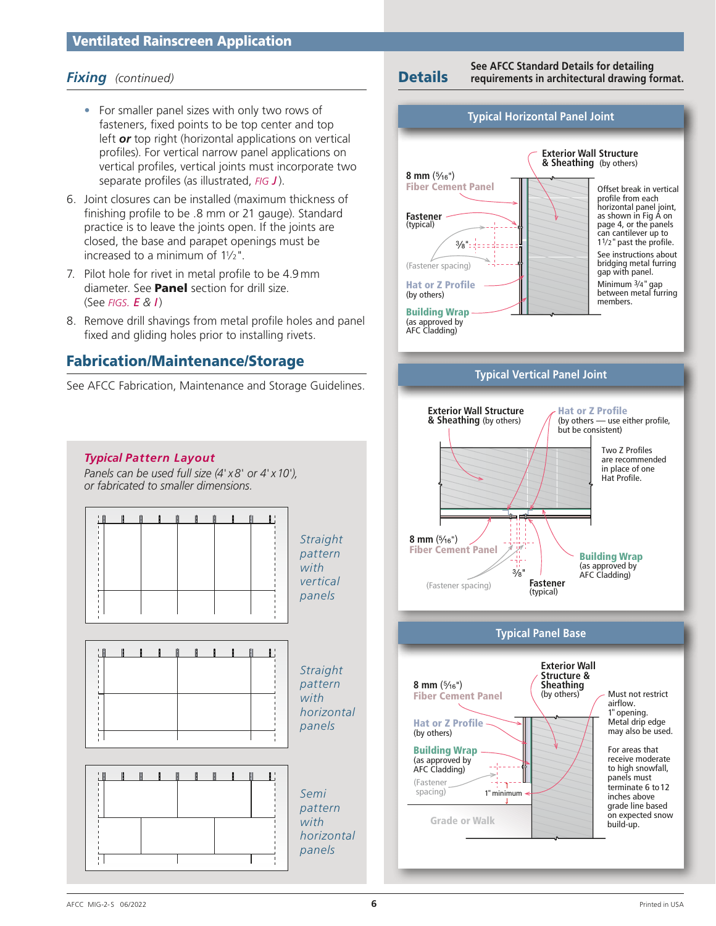- For smaller panel sizes with only two rows of fasteners, fixed points to be top center and top left *or* top right (horizontal applications on vertical profiles). For vertical narrow panel applications on vertical profiles, vertical joints must incorporate two separate profiles (as illustrated, *fig J*).
- 6. Joint closures can be installed (maximum thickness of finishing profile to be .8 mm or 21 gauge). Standard practice is to leave the joints open. If the joints are closed, the base and parapet openings must be increased to a minimum of  $11/2$ ".
- 7. Pilot hole for rivet in metal profile to be 4.9mm diameter. See **Panel** section for drill size. (See *figs. E & I*)
- 8. Remove drill shavings from metal profile holes and panel fixed and gliding holes prior to installing rivets.

## Fabrication/Maintenance/Storage

See AFCC Fabrication, Maintenance and Storage Guidelines.

*Fixing (continued)* Details **See AFCC Standard Details for detailing requirements in architectural drawing format.**





(Fastener spacing)

Grade or Walk

1"minimum

to high snowfall, panels must terminate 6 to 12 inches above grade line based on expected snow build-up.